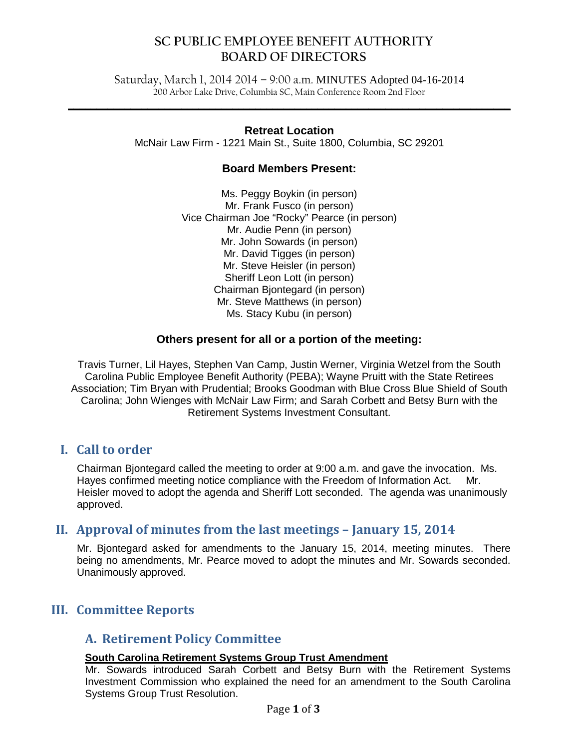Saturday, March 1, 2014 2014 – 9:00 a.m. MINUTES Adopted 04-16-2014 200 Arbor Lake Drive, Columbia SC, Main Conference Room 2nd Floor

**\_\_\_\_\_\_\_\_\_\_\_\_\_\_\_\_\_\_\_\_\_\_\_\_\_\_\_\_\_\_\_\_\_\_\_\_\_\_\_\_\_\_\_\_\_\_\_\_\_\_\_\_\_\_\_\_\_\_\_\_\_\_\_\_\_\_\_\_\_\_\_\_\_\_\_\_\_\_**

#### **Retreat Location**

McNair Law Firm - 1221 Main St., Suite 1800, Columbia, SC 29201

#### **Board Members Present:**

Ms. Peggy Boykin (in person) Mr. Frank Fusco (in person) Vice Chairman Joe "Rocky" Pearce (in person) Mr. Audie Penn (in person) Mr. John Sowards (in person) Mr. David Tigges (in person) Mr. Steve Heisler (in person) Sheriff Leon Lott (in person) Chairman Bjontegard (in person) Mr. Steve Matthews (in person) Ms. Stacy Kubu (in person)

#### **Others present for all or a portion of the meeting:**

Travis Turner, Lil Hayes, Stephen Van Camp, Justin Werner, Virginia Wetzel from the South Carolina Public Employee Benefit Authority (PEBA); Wayne Pruitt with the State Retirees Association; Tim Bryan with Prudential; Brooks Goodman with Blue Cross Blue Shield of South Carolina; John Wienges with McNair Law Firm; and Sarah Corbett and Betsy Burn with the Retirement Systems Investment Consultant.

## **I. Call to order**

Chairman Bjontegard called the meeting to order at 9:00 a.m. and gave the invocation. Ms. Hayes confirmed meeting notice compliance with the Freedom of Information Act. Mr. Heisler moved to adopt the agenda and Sheriff Lott seconded. The agenda was unanimously approved.

## **II. Approval of minutes from the last meetings – January 15, 2014**

Mr. Bjontegard asked for amendments to the January 15, 2014, meeting minutes. There being no amendments, Mr. Pearce moved to adopt the minutes and Mr. Sowards seconded. Unanimously approved.

## **III. Committee Reports**

## **A. Retirement Policy Committee**

#### **South Carolina Retirement Systems Group Trust Amendment**

Mr. Sowards introduced Sarah Corbett and Betsy Burn with the Retirement Systems Investment Commission who explained the need for an amendment to the South Carolina Systems Group Trust Resolution.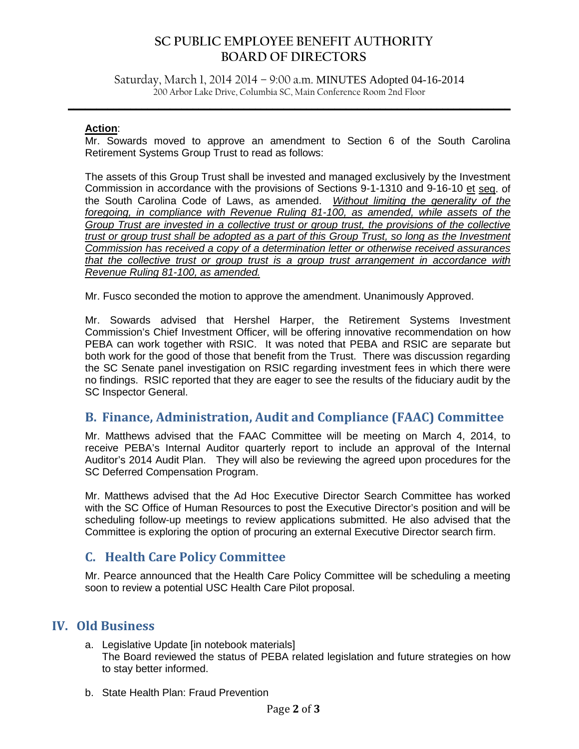Saturday, March 1, 2014 2014 – 9:00 a.m. MINUTES Adopted 04-16-2014 200 Arbor Lake Drive, Columbia SC, Main Conference Room 2nd Floor

**\_\_\_\_\_\_\_\_\_\_\_\_\_\_\_\_\_\_\_\_\_\_\_\_\_\_\_\_\_\_\_\_\_\_\_\_\_\_\_\_\_\_\_\_\_\_\_\_\_\_\_\_\_\_\_\_\_\_\_\_\_\_\_\_\_\_\_\_\_\_\_\_\_\_\_\_\_\_**

#### **Action**:

Mr. Sowards moved to approve an amendment to Section 6 of the South Carolina Retirement Systems Group Trust to read as follows:

The assets of this Group Trust shall be invested and managed exclusively by the Investment Commission in accordance with the provisions of Sections 9-1-1310 and 9-16-10 et seq. of the South Carolina Code of Laws, as amended. *Without limiting the generality of the foregoing, in compliance with Revenue Ruling 81-100, as amended, while assets of the Group Trust are invested in a collective trust or group trust, the provisions of the collective trust or group trust shall be adopted as a part of this Group Trust, so long as the Investment Commission has received a copy of a determination letter or otherwise received assurances that the collective trust or group trust is a group trust arrangement in accordance with Revenue Ruling 81-100, as amended.*

Mr. Fusco seconded the motion to approve the amendment. Unanimously Approved.

Mr. Sowards advised that Hershel Harper, the Retirement Systems Investment Commission's Chief Investment Officer, will be offering innovative recommendation on how PEBA can work together with RSIC. It was noted that PEBA and RSIC are separate but both work for the good of those that benefit from the Trust. There was discussion regarding the SC Senate panel investigation on RSIC regarding investment fees in which there were no findings. RSIC reported that they are eager to see the results of the fiduciary audit by the SC Inspector General.

# **B. Finance, Administration, Audit and Compliance (FAAC) Committee**

Mr. Matthews advised that the FAAC Committee will be meeting on March 4, 2014, to receive PEBA's Internal Auditor quarterly report to include an approval of the Internal Auditor's 2014 Audit Plan. They will also be reviewing the agreed upon procedures for the SC Deferred Compensation Program.

Mr. Matthews advised that the Ad Hoc Executive Director Search Committee has worked with the SC Office of Human Resources to post the Executive Director's position and will be scheduling follow-up meetings to review applications submitted. He also advised that the Committee is exploring the option of procuring an external Executive Director search firm.

# **C. Health Care Policy Committee**

Mr. Pearce announced that the Health Care Policy Committee will be scheduling a meeting soon to review a potential USC Health Care Pilot proposal.

## **IV. Old Business**

- a. Legislative Update [in notebook materials] The Board reviewed the status of PEBA related legislation and future strategies on how to stay better informed.
- b. State Health Plan: Fraud Prevention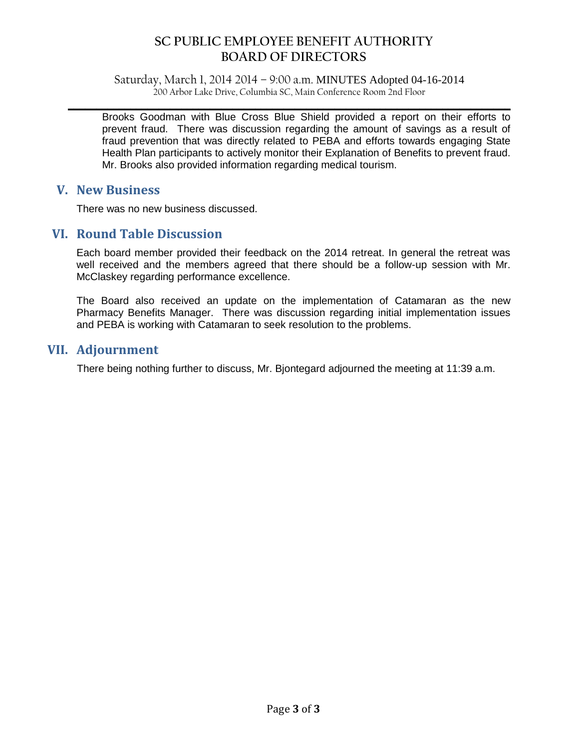Saturday, March 1, 2014 2014 – 9:00 a.m. MINUTES Adopted 04-16-2014 200 Arbor Lake Drive, Columbia SC, Main Conference Room 2nd Floor

**\_\_\_\_\_\_\_\_\_\_\_\_\_\_\_\_\_\_\_\_\_\_\_\_\_\_\_\_\_\_\_\_\_\_\_\_\_\_\_\_\_\_\_\_\_\_\_\_\_\_\_\_\_\_\_\_\_\_\_\_\_\_\_\_\_\_\_\_\_\_\_\_\_\_\_\_\_\_** Brooks Goodman with Blue Cross Blue Shield provided a report on their efforts to prevent fraud. There was discussion regarding the amount of savings as a result of fraud prevention that was directly related to PEBA and efforts towards engaging State Health Plan participants to actively monitor their Explanation of Benefits to prevent fraud. Mr. Brooks also provided information regarding medical tourism.

### **V. New Business**

There was no new business discussed.

## **VI. Round Table Discussion**

Each board member provided their feedback on the 2014 retreat. In general the retreat was well received and the members agreed that there should be a follow-up session with Mr. McClaskey regarding performance excellence.

The Board also received an update on the implementation of Catamaran as the new Pharmacy Benefits Manager. There was discussion regarding initial implementation issues and PEBA is working with Catamaran to seek resolution to the problems.

## **VII. Adjournment**

There being nothing further to discuss, Mr. Bjontegard adjourned the meeting at 11:39 a.m.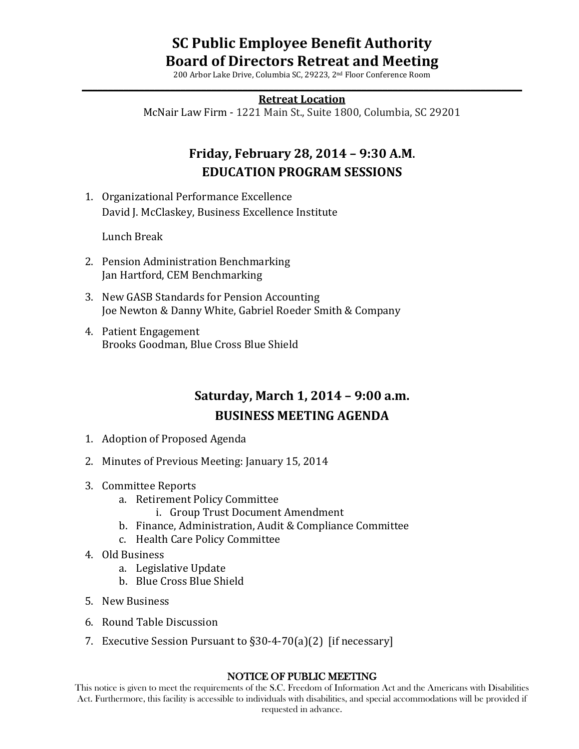# **SC Public Employee Benefit Authority Board of Directors Retreat and Meeting**

200 Arbor Lake Drive, Columbia SC, 29223, 2nd Floor Conference Room

#### **\_\_\_\_\_\_\_\_\_\_\_\_\_\_\_\_\_\_\_\_\_\_\_\_\_\_\_\_\_\_\_\_\_\_\_\_\_\_\_\_\_\_\_\_\_\_\_\_\_\_\_\_\_\_\_\_\_\_\_\_\_\_\_\_\_\_\_\_\_\_\_\_\_\_\_\_\_\_\_\_\_\_\_\_\_ Retreat Location**

McNair Law Firm - 1221 Main St., Suite 1800, Columbia, SC 29201

# **Friday, February 28, 2014 – 9:30 A.M. EDUCATION PROGRAM SESSIONS**

1. Organizational Performance Excellence [David J. McClaskey,](http://www.palsbei.com/about/instuctors-consultants/david-j-mcclaskey) Business Excellence Institute

Lunch Break

- 2. Pension Administration Benchmarking Jan Hartford, CEM Benchmarking
- 3. New GASB Standards for Pension Accounting Joe Newton & Danny White, Gabriel Roeder Smith & Company
- 4. Patient Engagement Brooks Goodman, Blue Cross Blue Shield

# **Saturday, March 1, 2014 – 9:00 a.m. BUSINESS MEETING AGENDA**

- 1. Adoption of Proposed Agenda
- 2. Minutes of Previous Meeting: January 15, 2014
- 3. Committee Reports
	- a. Retirement Policy Committee
		- i. Group Trust Document Amendment
	- b. Finance, Administration, Audit & Compliance Committee
	- c. Health Care Policy Committee
- 4. Old Business
	- a. Legislative Update
	- b. Blue Cross Blue Shield
- 5. New Business
- 6. Round Table Discussion
- 7. Executive Session Pursuant to §30-4-70(a)(2) [if necessary]

#### NOTICE OF PUBLIC MEETING

This notice is given to meet the requirements of the S.C. Freedom of Information Act and the Americans with Disabilities Act. Furthermore, this facility is accessible to individuals with disabilities, and special accommodations will be provided if requested in advance.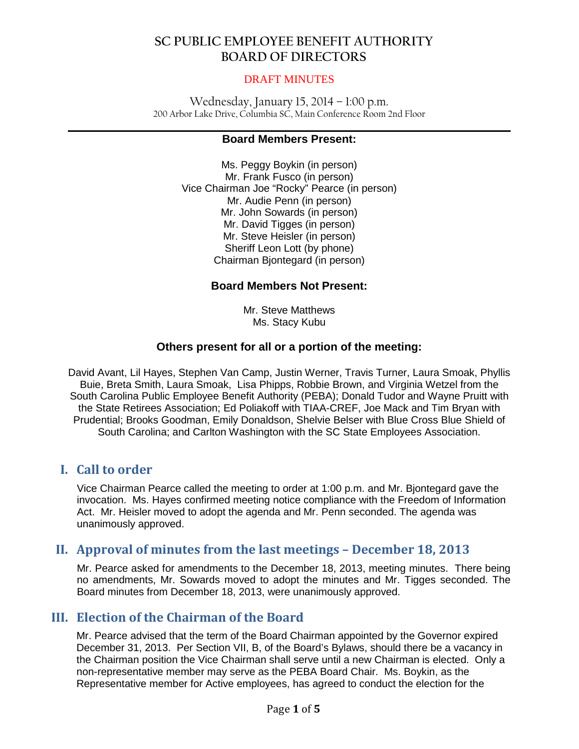#### DRAFT MINUTES

Wednesday, January 15, 2014 – 1:00 p.m. 200 Arbor Lake Drive, Columbia SC, Main Conference Room 2nd Floor

#### **\_\_\_\_\_\_\_\_\_\_\_\_\_\_\_\_\_\_\_\_\_\_\_\_\_\_\_\_\_\_\_\_\_\_\_\_\_\_\_\_\_\_\_\_\_\_\_\_\_\_\_\_\_\_\_\_\_\_\_\_\_\_\_\_\_\_\_\_\_\_\_\_\_\_\_\_\_\_ Board Members Present:**

Ms. Peggy Boykin (in person) Mr. Frank Fusco (in person) Vice Chairman Joe "Rocky" Pearce (in person) Mr. Audie Penn (in person) Mr. John Sowards (in person) Mr. David Tigges (in person) Mr. Steve Heisler (in person) Sheriff Leon Lott (by phone) Chairman Bjontegard (in person)

#### **Board Members Not Present:**

Mr. Steve Matthews Ms. Stacy Kubu

### **Others present for all or a portion of the meeting:**

David Avant, Lil Hayes, Stephen Van Camp, Justin Werner, Travis Turner, Laura Smoak, Phyllis Buie, Breta Smith, Laura Smoak, Lisa Phipps, Robbie Brown, and Virginia Wetzel from the South Carolina Public Employee Benefit Authority (PEBA); Donald Tudor and Wayne Pruitt with the State Retirees Association; Ed Poliakoff with TIAA-CREF, Joe Mack and Tim Bryan with Prudential; Brooks Goodman, Emily Donaldson, Shelvie Belser with Blue Cross Blue Shield of South Carolina; and Carlton Washington with the SC State Employees Association.

# **I. Call to order**

Vice Chairman Pearce called the meeting to order at 1:00 p.m. and Mr. Bjontegard gave the invocation. Ms. Hayes confirmed meeting notice compliance with the Freedom of Information Act. Mr. Heisler moved to adopt the agenda and Mr. Penn seconded. The agenda was unanimously approved.

## **II. Approval of minutes from the last meetings – December 18, 2013**

Mr. Pearce asked for amendments to the December 18, 2013, meeting minutes. There being no amendments, Mr. Sowards moved to adopt the minutes and Mr. Tigges seconded. The Board minutes from December 18, 2013, were unanimously approved.

# **III. Election of the Chairman of the Board**

Mr. Pearce advised that the term of the Board Chairman appointed by the Governor expired December 31, 2013. Per Section VII, B, of the Board's Bylaws, should there be a vacancy in the Chairman position the Vice Chairman shall serve until a new Chairman is elected. Only a non-representative member may serve as the PEBA Board Chair. Ms. Boykin, as the Representative member for Active employees, has agreed to conduct the election for the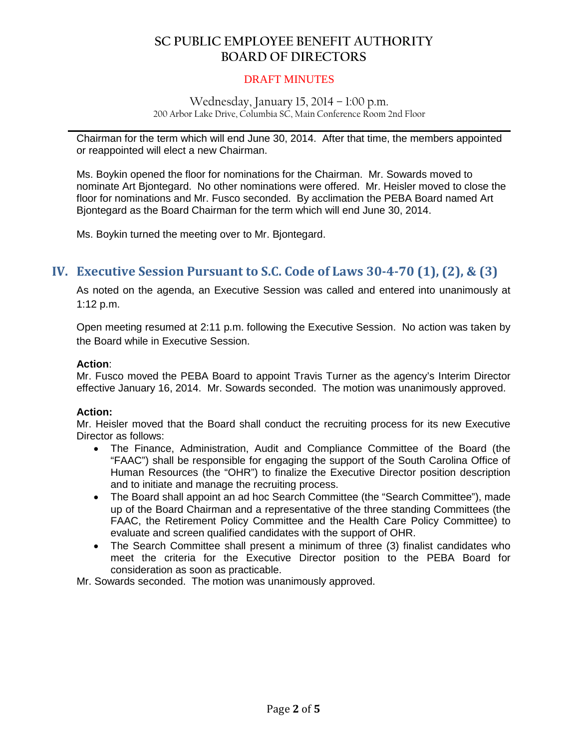#### DRAFT MINUTES

#### Wednesday, January 15, 2014 – 1:00 p.m. 200 Arbor Lake Drive, Columbia SC, Main Conference Room 2nd Floor

**\_\_\_\_\_\_\_\_\_\_\_\_\_\_\_\_\_\_\_\_\_\_\_\_\_\_\_\_\_\_\_\_\_\_\_\_\_\_\_\_\_\_\_\_\_\_\_\_\_\_\_\_\_\_\_\_\_\_\_\_\_\_\_\_\_\_\_\_\_\_\_\_\_\_\_\_\_\_** Chairman for the term which will end June 30, 2014. After that time, the members appointed or reappointed will elect a new Chairman.

Ms. Boykin opened the floor for nominations for the Chairman. Mr. Sowards moved to nominate Art Bjontegard. No other nominations were offered. Mr. Heisler moved to close the floor for nominations and Mr. Fusco seconded. By acclimation the PEBA Board named Art Bjontegard as the Board Chairman for the term which will end June 30, 2014.

Ms. Boykin turned the meeting over to Mr. Bjontegard.

## **IV. Executive Session Pursuant to S.C. Code of Laws 30-4-70 (1), (2), & (3)**

As noted on the agenda, an Executive Session was called and entered into unanimously at 1:12 p.m.

Open meeting resumed at 2:11 p.m. following the Executive Session. No action was taken by the Board while in Executive Session.

#### **Action**:

Mr. Fusco moved the PEBA Board to appoint Travis Turner as the agency's Interim Director effective January 16, 2014. Mr. Sowards seconded. The motion was unanimously approved.

#### **Action:**

Mr. Heisler moved that the Board shall conduct the recruiting process for its new Executive Director as follows:

- The Finance, Administration, Audit and Compliance Committee of the Board (the "FAAC") shall be responsible for engaging the support of the South Carolina Office of Human Resources (the "OHR") to finalize the Executive Director position description and to initiate and manage the recruiting process.
- The Board shall appoint an ad hoc Search Committee (the "Search Committee"), made up of the Board Chairman and a representative of the three standing Committees (the FAAC, the Retirement Policy Committee and the Health Care Policy Committee) to evaluate and screen qualified candidates with the support of OHR.
- The Search Committee shall present a minimum of three (3) finalist candidates who meet the criteria for the Executive Director position to the PEBA Board for consideration as soon as practicable.

Mr. Sowards seconded. The motion was unanimously approved.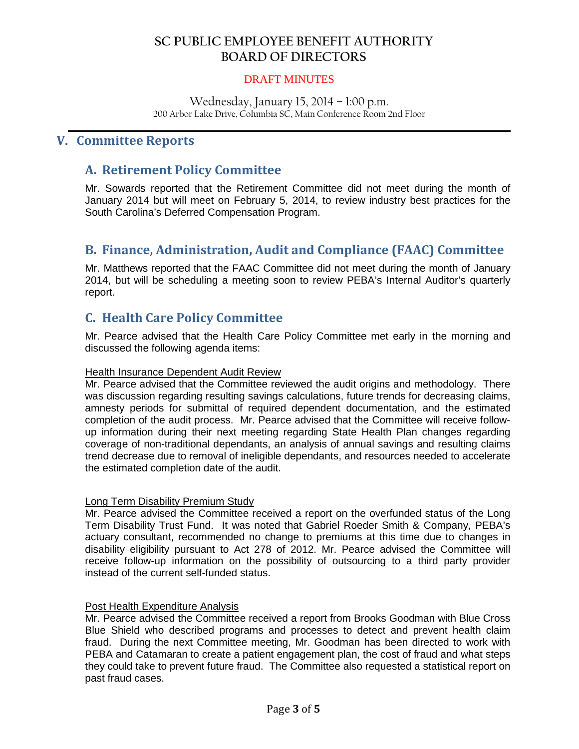#### DRAFT MINUTES

Wednesday, January 15, 2014 – 1:00 p.m. 200 Arbor Lake Drive, Columbia SC, Main Conference Room 2nd Floor

**\_\_\_\_\_\_\_\_\_\_\_\_\_\_\_\_\_\_\_\_\_\_\_\_\_\_\_\_\_\_\_\_\_\_\_\_\_\_\_\_\_\_\_\_\_\_\_\_\_\_\_\_\_\_\_\_\_\_\_\_\_\_\_\_\_\_\_\_\_\_\_\_\_\_\_\_\_\_**

# **V. Committee Reports**

## **A. Retirement Policy Committee**

Mr. Sowards reported that the Retirement Committee did not meet during the month of January 2014 but will meet on February 5, 2014, to review industry best practices for the South Carolina's Deferred Compensation Program.

## **B. Finance, Administration, Audit and Compliance (FAAC) Committee**

Mr. Matthews reported that the FAAC Committee did not meet during the month of January 2014, but will be scheduling a meeting soon to review PEBA's Internal Auditor's quarterly report.

## **C. Health Care Policy Committee**

Mr. Pearce advised that the Health Care Policy Committee met early in the morning and discussed the following agenda items:

#### Health Insurance Dependent Audit Review

Mr. Pearce advised that the Committee reviewed the audit origins and methodology. There was discussion regarding resulting savings calculations, future trends for decreasing claims, amnesty periods for submittal of required dependent documentation, and the estimated completion of the audit process. Mr. Pearce advised that the Committee will receive followup information during their next meeting regarding State Health Plan changes regarding coverage of non-traditional dependants, an analysis of annual savings and resulting claims trend decrease due to removal of ineligible dependants, and resources needed to accelerate the estimated completion date of the audit.

#### Long Term Disability Premium Study

Mr. Pearce advised the Committee received a report on the overfunded status of the Long Term Disability Trust Fund. It was noted that Gabriel Roeder Smith & Company, PEBA's actuary consultant, recommended no change to premiums at this time due to changes in disability eligibility pursuant to Act 278 of 2012. Mr. Pearce advised the Committee will receive follow-up information on the possibility of outsourcing to a third party provider instead of the current self-funded status.

#### Post Health Expenditure Analysis

Mr. Pearce advised the Committee received a report from Brooks Goodman with Blue Cross Blue Shield who described programs and processes to detect and prevent health claim fraud. During the next Committee meeting, Mr. Goodman has been directed to work with PEBA and Catamaran to create a patient engagement plan, the cost of fraud and what steps they could take to prevent future fraud. The Committee also requested a statistical report on past fraud cases.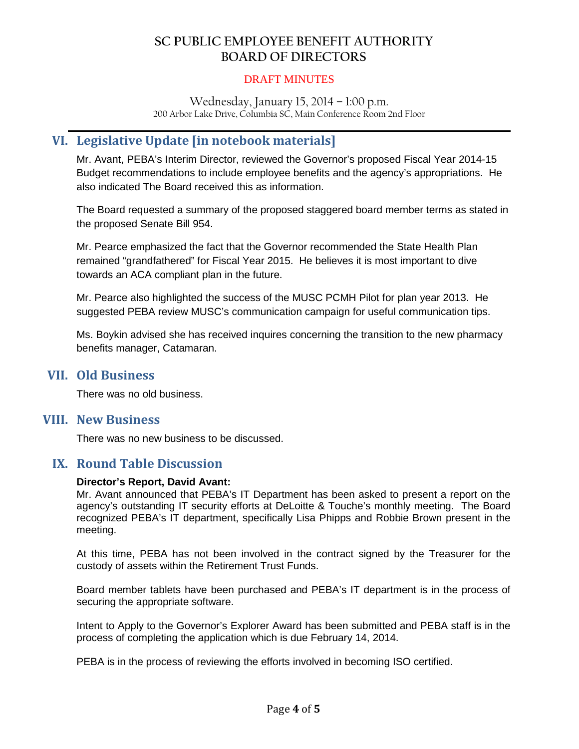#### DRAFT MINUTES

Wednesday, January 15, 2014 – 1:00 p.m. 200 Arbor Lake Drive, Columbia SC, Main Conference Room 2nd Floor

**\_\_\_\_\_\_\_\_\_\_\_\_\_\_\_\_\_\_\_\_\_\_\_\_\_\_\_\_\_\_\_\_\_\_\_\_\_\_\_\_\_\_\_\_\_\_\_\_\_\_\_\_\_\_\_\_\_\_\_\_\_\_\_\_\_\_\_\_\_\_\_\_\_\_\_\_\_\_**

## **VI. Legislative Update [in notebook materials]**

Mr. Avant, PEBA's Interim Director, reviewed the Governor's proposed Fiscal Year 2014-15 Budget recommendations to include employee benefits and the agency's appropriations. He also indicated The Board received this as information.

The Board requested a summary of the proposed staggered board member terms as stated in the proposed Senate Bill 954.

Mr. Pearce emphasized the fact that the Governor recommended the State Health Plan remained "grandfathered" for Fiscal Year 2015. He believes it is most important to dive towards an ACA compliant plan in the future.

Mr. Pearce also highlighted the success of the MUSC PCMH Pilot for plan year 2013. He suggested PEBA review MUSC's communication campaign for useful communication tips.

Ms. Boykin advised she has received inquires concerning the transition to the new pharmacy benefits manager, Catamaran.

### **VII. Old Business**

There was no old business.

### **VIII. New Business**

There was no new business to be discussed.

## **IX. Round Table Discussion**

#### **Director's Report, David Avant:**

Mr. Avant announced that PEBA's IT Department has been asked to present a report on the agency's outstanding IT security efforts at DeLoitte & Touche's monthly meeting. The Board recognized PEBA's IT department, specifically Lisa Phipps and Robbie Brown present in the meeting.

At this time, PEBA has not been involved in the contract signed by the Treasurer for the custody of assets within the Retirement Trust Funds.

Board member tablets have been purchased and PEBA's IT department is in the process of securing the appropriate software.

Intent to Apply to the Governor's Explorer Award has been submitted and PEBA staff is in the process of completing the application which is due February 14, 2014.

PEBA is in the process of reviewing the efforts involved in becoming ISO certified.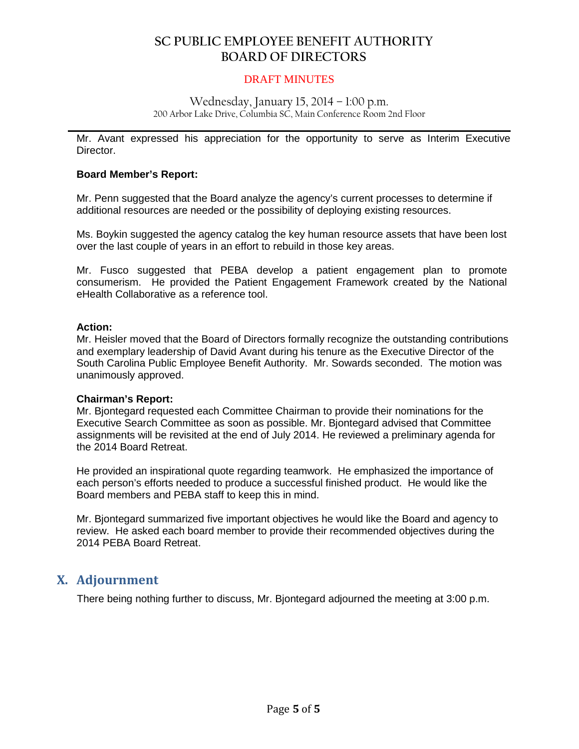#### DRAFT MINUTES

#### Wednesday, January 15, 2014 – 1:00 p.m. 200 Arbor Lake Drive, Columbia SC, Main Conference Room 2nd Floor

**\_\_\_\_\_\_\_\_\_\_\_\_\_\_\_\_\_\_\_\_\_\_\_\_\_\_\_\_\_\_\_\_\_\_\_\_\_\_\_\_\_\_\_\_\_\_\_\_\_\_\_\_\_\_\_\_\_\_\_\_\_\_\_\_\_\_\_\_\_\_\_\_\_\_\_\_\_\_** Mr. Avant expressed his appreciation for the opportunity to serve as Interim Executive Director.

#### **Board Member's Report:**

Mr. Penn suggested that the Board analyze the agency's current processes to determine if additional resources are needed or the possibility of deploying existing resources.

Ms. Boykin suggested the agency catalog the key human resource assets that have been lost over the last couple of years in an effort to rebuild in those key areas.

Mr. Fusco suggested that PEBA develop a patient engagement plan to promote consumerism. He provided the Patient Engagement Framework created by the National eHealth Collaborative as a reference tool.

#### **Action:**

Mr. Heisler moved that the Board of Directors formally recognize the outstanding contributions and exemplary leadership of David Avant during his tenure as the Executive Director of the South Carolina Public Employee Benefit Authority. Mr. Sowards seconded. The motion was unanimously approved.

#### **Chairman's Report:**

Mr. Bjontegard requested each Committee Chairman to provide their nominations for the Executive Search Committee as soon as possible. Mr. Bjontegard advised that Committee assignments will be revisited at the end of July 2014. He reviewed a preliminary agenda for the 2014 Board Retreat.

He provided an inspirational quote regarding teamwork. He emphasized the importance of each person's efforts needed to produce a successful finished product. He would like the Board members and PEBA staff to keep this in mind.

Mr. Bjontegard summarized five important objectives he would like the Board and agency to review. He asked each board member to provide their recommended objectives during the 2014 PEBA Board Retreat.

## **X. Adjournment**

There being nothing further to discuss, Mr. Bjontegard adjourned the meeting at 3:00 p.m.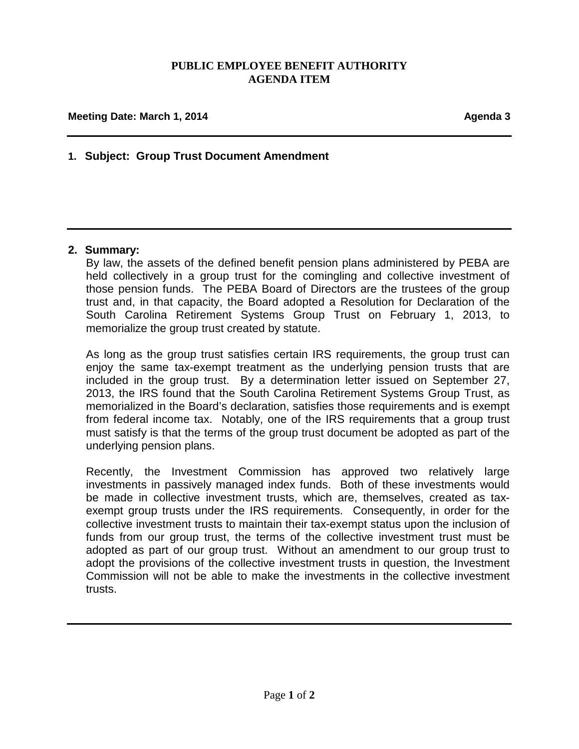### **PUBLIC EMPLOYEE BENEFIT AUTHORITY AGENDA ITEM**

#### **Meeting Date: March 1, 2014 Agenda 3**

### **1. Subject: Group Trust Document Amendment**

#### **2. Summary:**

By law, the assets of the defined benefit pension plans administered by PEBA are held collectively in a group trust for the comingling and collective investment of those pension funds. The PEBA Board of Directors are the trustees of the group trust and, in that capacity, the Board adopted a Resolution for Declaration of the South Carolina Retirement Systems Group Trust on February 1, 2013, to memorialize the group trust created by statute.

As long as the group trust satisfies certain IRS requirements, the group trust can enjoy the same tax-exempt treatment as the underlying pension trusts that are included in the group trust. By a determination letter issued on September 27, 2013, the IRS found that the South Carolina Retirement Systems Group Trust, as memorialized in the Board's declaration, satisfies those requirements and is exempt from federal income tax. Notably, one of the IRS requirements that a group trust must satisfy is that the terms of the group trust document be adopted as part of the underlying pension plans.

Recently, the Investment Commission has approved two relatively large investments in passively managed index funds. Both of these investments would be made in collective investment trusts, which are, themselves, created as taxexempt group trusts under the IRS requirements. Consequently, in order for the collective investment trusts to maintain their tax-exempt status upon the inclusion of funds from our group trust, the terms of the collective investment trust must be adopted as part of our group trust. Without an amendment to our group trust to adopt the provisions of the collective investment trusts in question, the Investment Commission will not be able to make the investments in the collective investment trusts.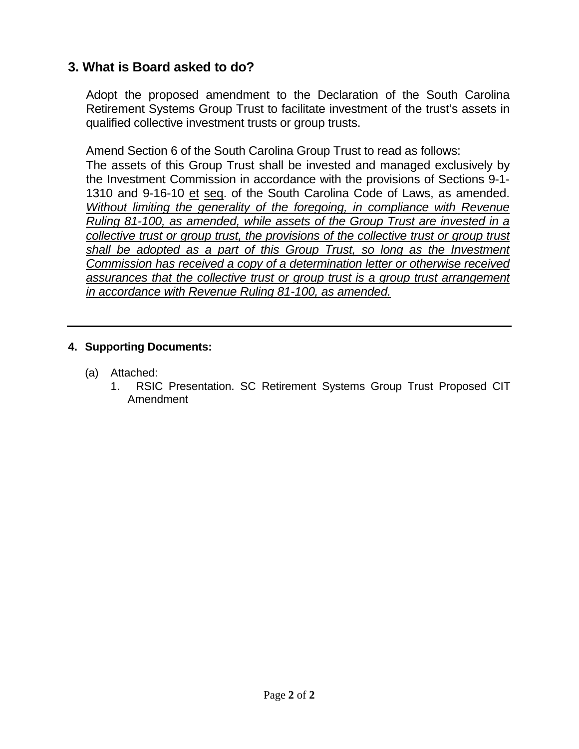# **3. What is Board asked to do?**

Adopt the proposed amendment to the Declaration of the South Carolina Retirement Systems Group Trust to facilitate investment of the trust's assets in qualified collective investment trusts or group trusts.

Amend Section 6 of the South Carolina Group Trust to read as follows: The assets of this Group Trust shall be invested and managed exclusively by the Investment Commission in accordance with the provisions of Sections 9-1- 1310 and 9-16-10 et seq. of the South Carolina Code of Laws, as amended. *Without limiting the generality of the foregoing, in compliance with Revenue Ruling 81-100, as amended, while assets of the Group Trust are invested in a collective trust or group trust, the provisions of the collective trust or group trust shall be adopted as a part of this Group Trust, so long as the Investment Commission has received a copy of a determination letter or otherwise received assurances that the collective trust or group trust is a group trust arrangement* 

*in accordance with Revenue Ruling 81-100, as amended.*

## **4. Supporting Documents:**

- (a) Attached:
	- 1. RSIC Presentation. SC Retirement Systems Group Trust Proposed CIT Amendment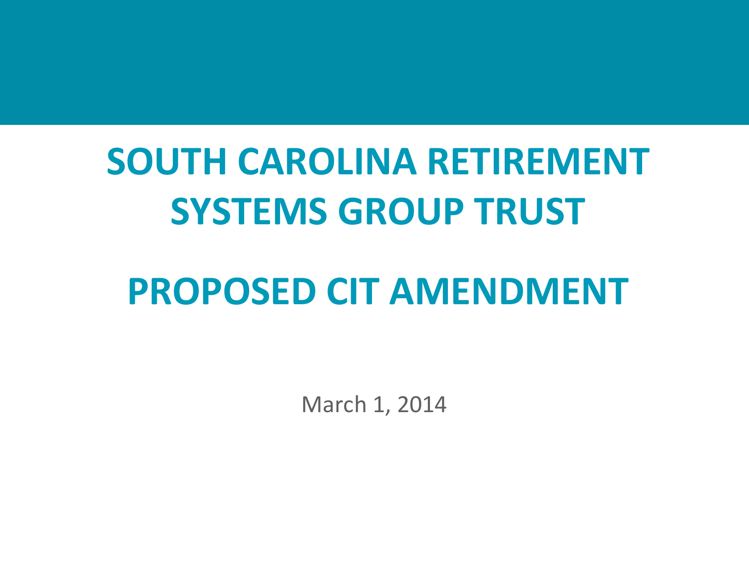# **SOUTH CAROLINA RETIREMENT SYSTEMS GROUP TRUST**

# **PROPOSED CIT AMENDMENT**

March 1, 2014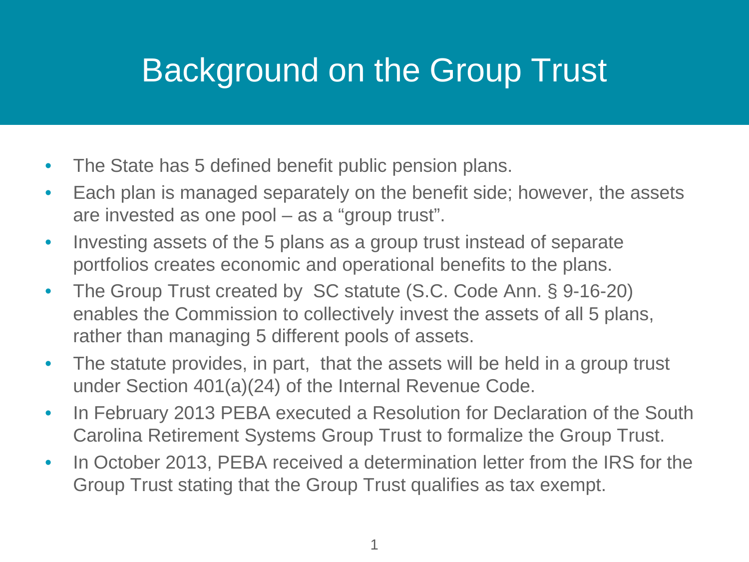# Background on the Group Trust

- The State has 5 defined benefit public pension plans.
- Each plan is managed separately on the benefit side; however, the assets are invested as one pool – as a "group trust".
- Investing assets of the 5 plans as a group trust instead of separate portfolios creates economic and operational benefits to the plans.
- The Group Trust created by SC statute (S.C. Code Ann. § 9-16-20) enables the Commission to collectively invest the assets of all 5 plans, rather than managing 5 different pools of assets.
- The statute provides, in part, that the assets will be held in a group trust under Section 401(a)(24) of the Internal Revenue Code.
- In February 2013 PEBA executed a Resolution for Declaration of the South Carolina Retirement Systems Group Trust to formalize the Group Trust.
- In October 2013, PEBA received a determination letter from the IRS for the Group Trust stating that the Group Trust qualifies as tax exempt.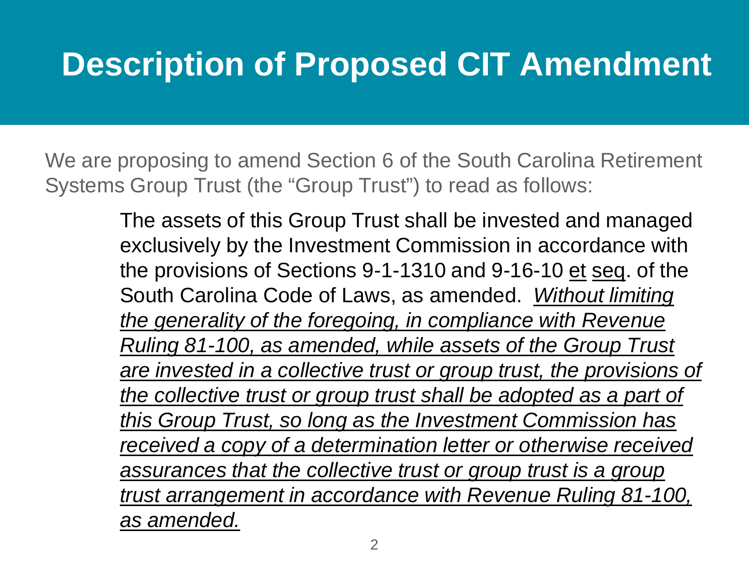# **Description of Proposed CIT Amendment**

We are proposing to amend Section 6 of the South Carolina Retirement Systems Group Trust (the "Group Trust") to read as follows:

> The assets of this Group Trust shall be invested and managed exclusively by the Investment Commission in accordance with the provisions of Sections 9-1-1310 and 9-16-10 et seq. of the South Carolina Code of Laws, as amended. *Without limiting the generality of the foregoing, in compliance with Revenue Ruling 81-100, as amended, while assets of the Group Trust are invested in a collective trust or group trust, the provisions of the collective trust or group trust shall be adopted as a part of this Group Trust, so long as the Investment Commission has received a copy of a determination letter or otherwise received assurances that the collective trust or group trust is a group trust arrangement in accordance with Revenue Ruling 81-100, as amended.*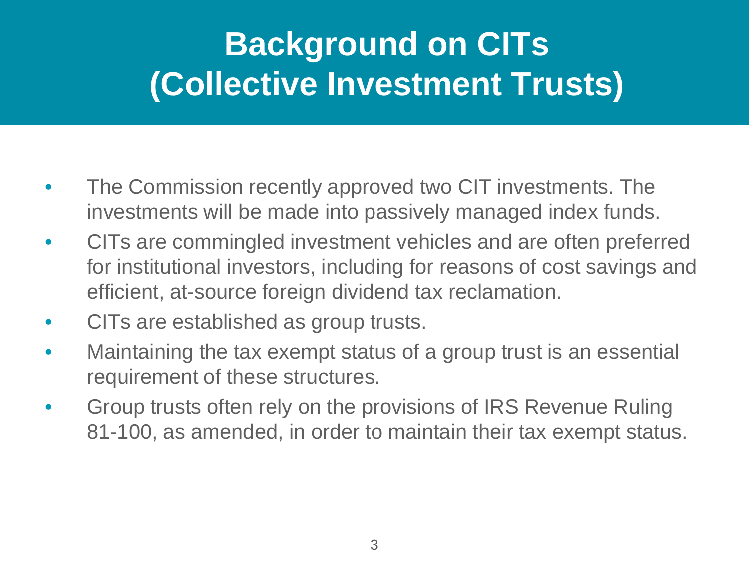# **Background on CITs (Collective Investment Trusts)**

- The Commission recently approved two CIT investments. The investments will be made into passively managed index funds.
- CITs are commingled investment vehicles and are often preferred for institutional investors, including for reasons of cost savings and efficient, at-source foreign dividend tax reclamation.
- CITs are established as group trusts.
- Maintaining the tax exempt status of a group trust is an essential requirement of these structures.
- Group trusts often rely on the provisions of IRS Revenue Ruling 81-100, as amended, in order to maintain their tax exempt status.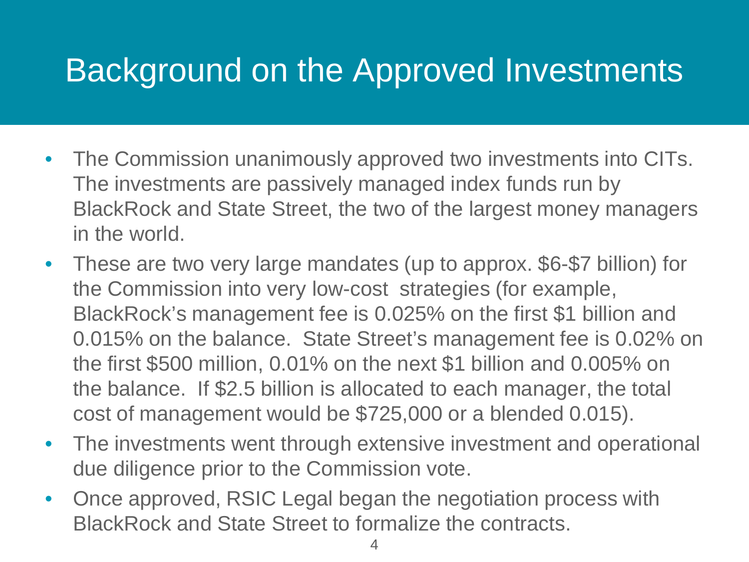# Background on the Approved Investments

- The Commission unanimously approved two investments into CITs. The investments are passively managed index funds run by BlackRock and State Street, the two of the largest money managers in the world.
- These are two very large mandates (up to approx. \$6-\$7 billion) for the Commission into very low-cost strategies (for example, BlackRock's management fee is 0.025% on the first \$1 billion and 0.015% on the balance. State Street's management fee is 0.02% on the first \$500 million, 0.01% on the next \$1 billion and 0.005% on the balance. If \$2.5 billion is allocated to each manager, the total cost of management would be \$725,000 or a blended 0.015).
- The investments went through extensive investment and operational due diligence prior to the Commission vote.
- Once approved, RSIC Legal began the negotiation process with BlackRock and State Street to formalize the contracts.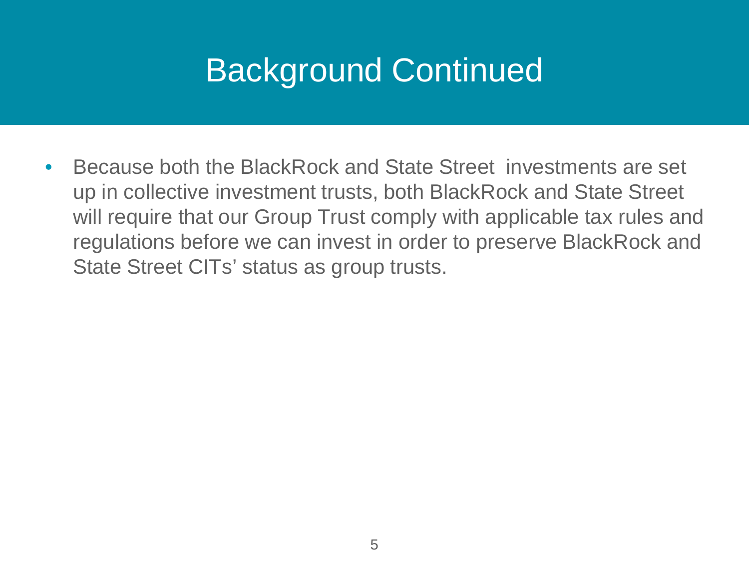# Background Continued

• Because both the BlackRock and State Street investments are set up in collective investment trusts, both BlackRock and State Street will require that our Group Trust comply with applicable tax rules and regulations before we can invest in order to preserve BlackRock and State Street CITs' status as group trusts.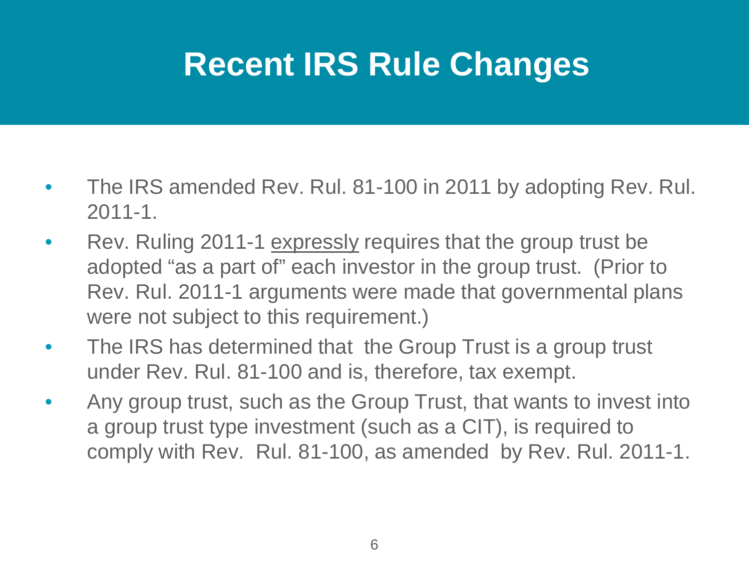# **Recent IRS Rule Changes**

- The IRS amended Rev. Rul. 81-100 in 2011 by adopting Rev. Rul. 2011-1.
- Rev. Ruling 2011-1 expressly requires that the group trust be adopted "as a part of" each investor in the group trust. (Prior to Rev. Rul. 2011-1 arguments were made that governmental plans were not subject to this requirement.)
- The IRS has determined that the Group Trust is a group trust under Rev. Rul. 81-100 and is, therefore, tax exempt.
- Any group trust, such as the Group Trust, that wants to invest into a group trust type investment (such as a CIT), is required to comply with Rev. Rul. 81-100, as amended by Rev. Rul. 2011-1.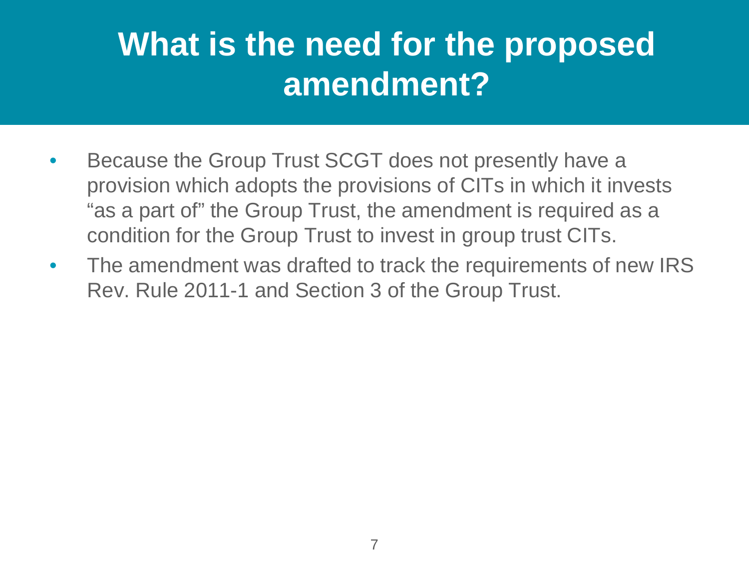# **What is the need for the proposed amendment?**

- Because the Group Trust SCGT does not presently have a provision which adopts the provisions of CITs in which it invests "as a part of" the Group Trust, the amendment is required as a condition for the Group Trust to invest in group trust CITs.
- The amendment was drafted to track the requirements of new IRS Rev. Rule 2011-1 and Section 3 of the Group Trust.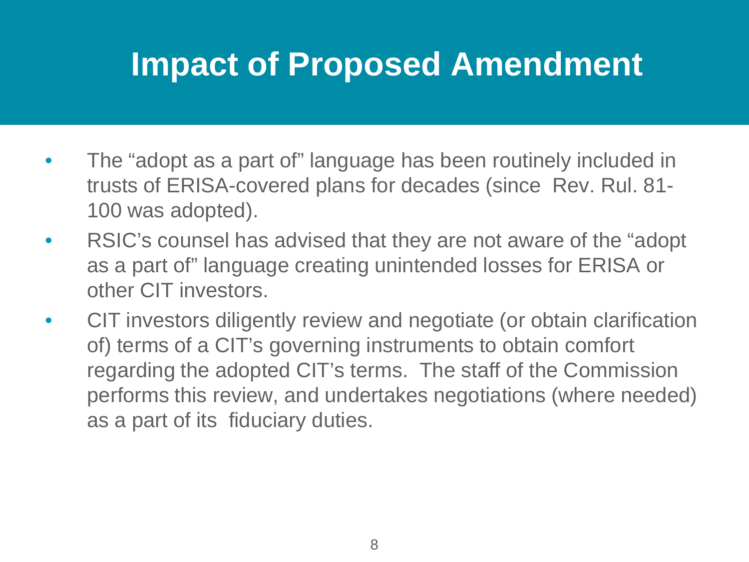# **Impact of Proposed Amendment**

- The "adopt as a part of" language has been routinely included in trusts of ERISA-covered plans for decades (since Rev. Rul. 81- 100 was adopted).
- RSIC's counsel has advised that they are not aware of the "adopt as a part of" language creating unintended losses for ERISA or other CIT investors.
- CIT investors diligently review and negotiate (or obtain clarification of) terms of a CIT's governing instruments to obtain comfort regarding the adopted CIT's terms. The staff of the Commission performs this review, and undertakes negotiations (where needed) as a part of its fiduciary duties.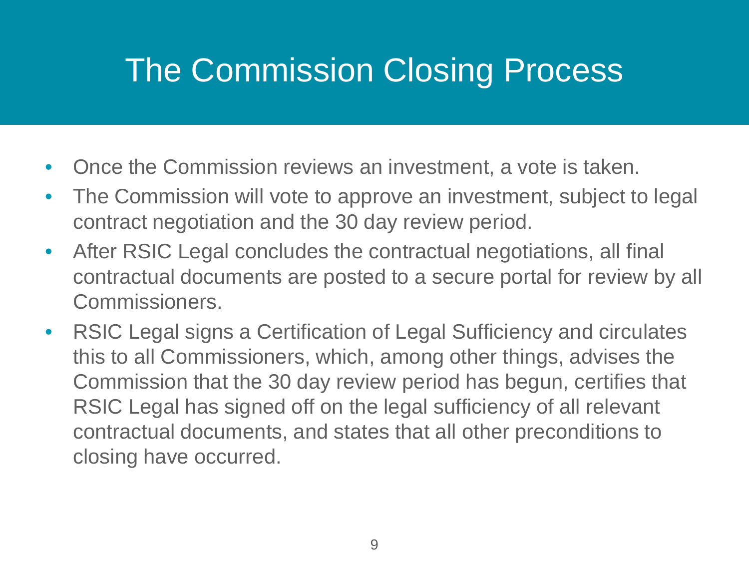# The Commission Closing Process

- Once the Commission reviews an investment, a vote is taken.
- The Commission will vote to approve an investment, subject to legal contract negotiation and the 30 day review period.
- After RSIC Legal concludes the contractual negotiations, all final contractual documents are posted to a secure portal for review by all Commissioners.
- RSIC Legal signs a Certification of Legal Sufficiency and circulates this to all Commissioners, which, among other things, advises the Commission that the 30 day review period has begun, certifies that RSIC Legal has signed off on the legal sufficiency of all relevant contractual documents, and states that all other preconditions to closing have occurred.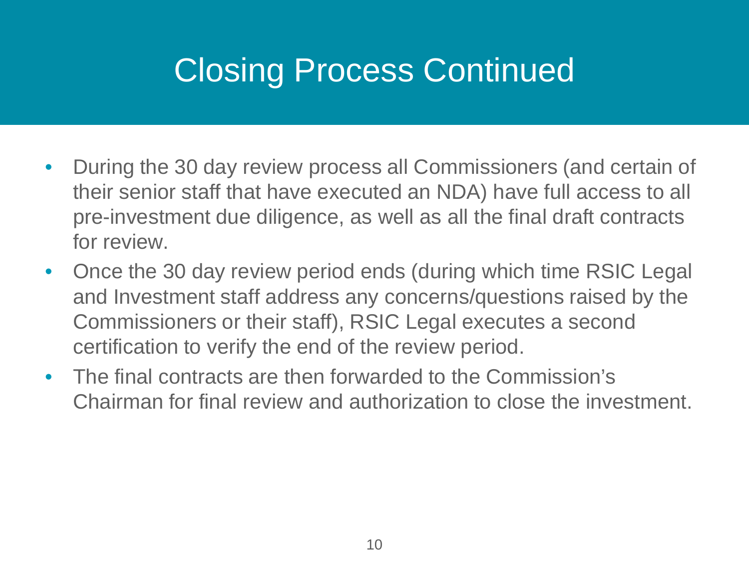# Closing Process Continued

- During the 30 day review process all Commissioners (and certain of their senior staff that have executed an NDA) have full access to all pre-investment due diligence, as well as all the final draft contracts for review.
- Once the 30 day review period ends (during which time RSIC Legal and Investment staff address any concerns/questions raised by the Commissioners or their staff), RSIC Legal executes a second certification to verify the end of the review period.
- The final contracts are then forwarded to the Commission's Chairman for final review and authorization to close the investment.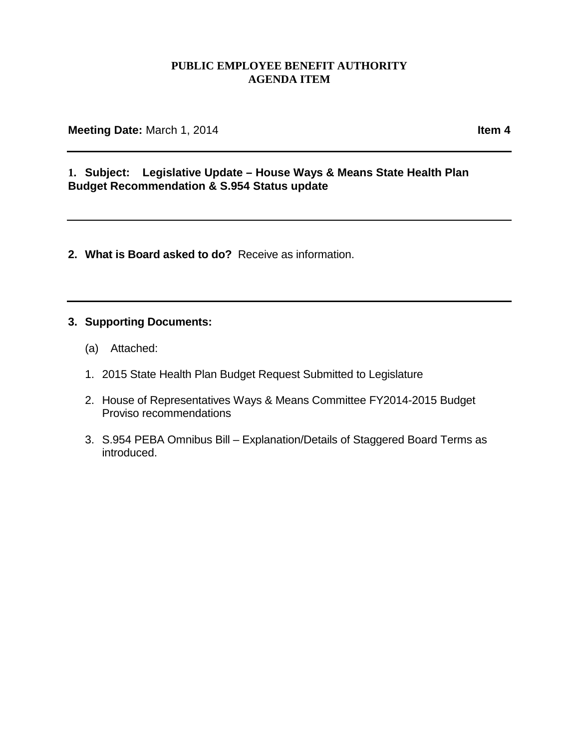### **PUBLIC EMPLOYEE BENEFIT AUTHORITY AGENDA ITEM**

**Meeting Date:** March 1, 2014 **Item 4** 

## **1. Subject: Legislative Update – House Ways & Means State Health Plan Budget Recommendation & S.954 Status update**

**2. What is Board asked to do?** Receive as information.

### **3. Supporting Documents:**

- (a) Attached:
- 1. 2015 State Health Plan Budget Request Submitted to Legislature
- 2. House of Representatives Ways & Means Committee FY2014-2015 Budget Proviso recommendations
- 3. S.954 PEBA Omnibus Bill Explanation/Details of Staggered Board Terms as introduced.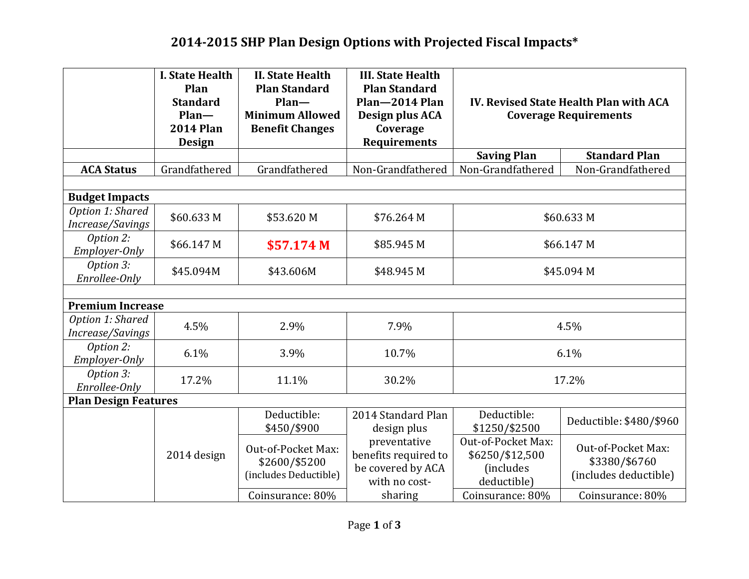# **2014-2015 SHP Plan Design Options with Projected Fiscal Impacts\***

|                                      | I. State Health<br>Plan<br><b>Standard</b><br>$Plan-$<br><b>2014 Plan</b><br><b>Design</b> | <b>II. State Health</b><br><b>Plan Standard</b><br>$Plan-$<br><b>Minimum Allowed</b><br><b>Benefit Changes</b> | <b>III. State Health</b><br><b>Plan Standard</b><br>Plan-2014 Plan<br>Design plus ACA<br>Coverage<br><b>Requirements</b> | IV. Revised State Health Plan with ACA<br><b>Coverage Requirements</b>    |                                                              |  |  |
|--------------------------------------|--------------------------------------------------------------------------------------------|----------------------------------------------------------------------------------------------------------------|--------------------------------------------------------------------------------------------------------------------------|---------------------------------------------------------------------------|--------------------------------------------------------------|--|--|
|                                      |                                                                                            |                                                                                                                |                                                                                                                          | <b>Saving Plan</b>                                                        | <b>Standard Plan</b>                                         |  |  |
| <b>ACA Status</b>                    | Grandfathered                                                                              | Grandfathered                                                                                                  | Non-Grandfathered                                                                                                        | Non-Grandfathered                                                         | Non-Grandfathered                                            |  |  |
|                                      |                                                                                            |                                                                                                                |                                                                                                                          |                                                                           |                                                              |  |  |
| <b>Budget Impacts</b>                |                                                                                            |                                                                                                                |                                                                                                                          |                                                                           |                                                              |  |  |
| Option 1: Shared<br>Increase/Savings | \$60.633 M                                                                                 | \$53.620 M                                                                                                     | \$76.264 M                                                                                                               | \$60.633 M                                                                |                                                              |  |  |
| Option 2:<br>Employer-Only           | \$66.147 M                                                                                 | \$57.174 M                                                                                                     | \$85.945 M                                                                                                               | \$66.147 M                                                                |                                                              |  |  |
| Option 3:<br>Enrollee-Only           | \$45.094M                                                                                  | \$43.606M                                                                                                      | \$48.945 M                                                                                                               | \$45.094 M                                                                |                                                              |  |  |
|                                      |                                                                                            |                                                                                                                |                                                                                                                          |                                                                           |                                                              |  |  |
| <b>Premium Increase</b>              |                                                                                            |                                                                                                                |                                                                                                                          |                                                                           |                                                              |  |  |
| Option 1: Shared<br>Increase/Savings | 4.5%                                                                                       | 2.9%                                                                                                           | 7.9%                                                                                                                     | 4.5%                                                                      |                                                              |  |  |
| Option 2:<br>Employer-Only           | 6.1%                                                                                       | 3.9%                                                                                                           | 10.7%                                                                                                                    | 6.1%                                                                      |                                                              |  |  |
| Option 3:<br>Enrollee-Only           | 17.2%                                                                                      | 11.1%                                                                                                          | 30.2%                                                                                                                    | 17.2%                                                                     |                                                              |  |  |
| <b>Plan Design Features</b>          |                                                                                            |                                                                                                                |                                                                                                                          |                                                                           |                                                              |  |  |
|                                      | 2014 design                                                                                | Deductible:<br>\$450/\$900                                                                                     | 2014 Standard Plan<br>design plus                                                                                        | Deductible:<br>\$1250/\$2500                                              | Deductible: \$480/\$960                                      |  |  |
|                                      |                                                                                            | Out-of-Pocket Max:<br>\$2600/\$5200<br>(includes Deductible)                                                   | preventative<br>benefits required to<br>be covered by ACA<br>with no cost-                                               | Out-of-Pocket Max:<br>\$6250/\$12,500<br><i>(includes)</i><br>deductible) | Out-of-Pocket Max:<br>\$3380/\$6760<br>(includes deductible) |  |  |
|                                      |                                                                                            | Coinsurance: 80%                                                                                               | sharing                                                                                                                  | Coinsurance: 80%                                                          | Coinsurance: 80%                                             |  |  |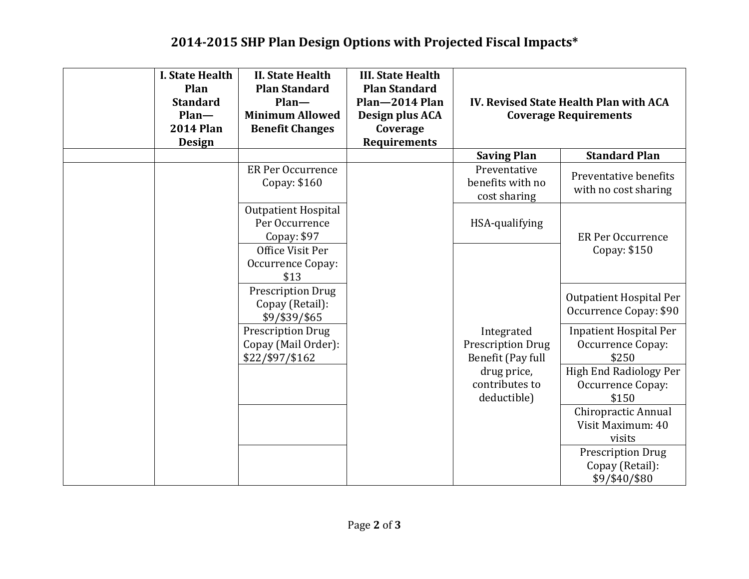# **2014-2015 SHP Plan Design Options with Projected Fiscal Impacts\***

| <b>I. State Health</b><br>Plan<br><b>Standard</b><br>Plan-<br><b>2014 Plan</b><br><b>Design</b> | <b>II. State Health</b><br><b>Plan Standard</b><br>$Plan-$<br><b>Minimum Allowed</b><br><b>Benefit Changes</b> | <b>III. State Health</b><br><b>Plan Standard</b><br>Plan-2014 Plan<br>Design plus ACA<br>Coverage<br><b>Requirements</b> | IV. Revised State Health Plan with ACA<br><b>Coverage Requirements</b>                                      |                                                              |
|-------------------------------------------------------------------------------------------------|----------------------------------------------------------------------------------------------------------------|--------------------------------------------------------------------------------------------------------------------------|-------------------------------------------------------------------------------------------------------------|--------------------------------------------------------------|
|                                                                                                 |                                                                                                                |                                                                                                                          | <b>Saving Plan</b>                                                                                          | <b>Standard Plan</b>                                         |
|                                                                                                 | <b>ER Per Occurrence</b><br>Copay: $$160$                                                                      |                                                                                                                          | Preventative<br>benefits with no<br>cost sharing                                                            | Preventative benefits<br>with no cost sharing                |
|                                                                                                 | Outpatient Hospital<br>Per Occurrence<br>Copay: \$97                                                           |                                                                                                                          | HSA-qualifying                                                                                              | <b>ER Per Occurrence</b>                                     |
|                                                                                                 | Office Visit Per<br>Occurrence Copay:<br>\$13                                                                  |                                                                                                                          |                                                                                                             | Copay: \$150                                                 |
|                                                                                                 | Prescription Drug<br>Copay (Retail):<br>\$9/\$39/\$65                                                          |                                                                                                                          |                                                                                                             | Outpatient Hospital Per<br>Occurrence Copay: \$90            |
|                                                                                                 | Prescription Drug<br>Copay (Mail Order):<br>\$22/\$97/\$162                                                    |                                                                                                                          | Integrated<br><b>Prescription Drug</b><br>Benefit (Pay full<br>drug price,<br>contributes to<br>deductible) | <b>Inpatient Hospital Per</b><br>Occurrence Copay:<br>\$250  |
|                                                                                                 |                                                                                                                |                                                                                                                          |                                                                                                             | High End Radiology Per<br>Occurrence Copay:<br>\$150         |
|                                                                                                 |                                                                                                                |                                                                                                                          |                                                                                                             | Chiropractic Annual<br>Visit Maximum: 40<br>visits           |
|                                                                                                 |                                                                                                                |                                                                                                                          |                                                                                                             | <b>Prescription Drug</b><br>Copay (Retail):<br>\$9/\$40/\$80 |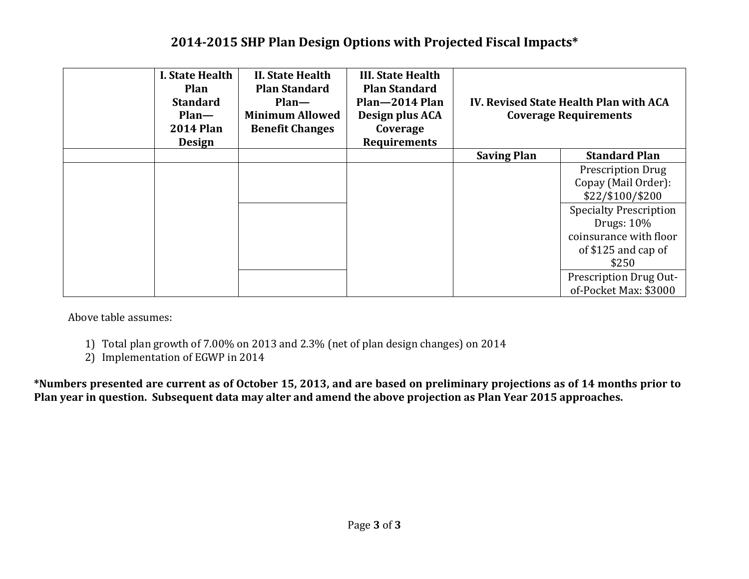# **2014-2015 SHP Plan Design Options with Projected Fiscal Impacts\***

| I. State Health<br>Plan<br><b>Standard</b><br>$Plan-$<br><b>2014 Plan</b><br><b>Design</b> | <b>II. State Health</b><br><b>Plan Standard</b><br>$Plan-$<br><b>Minimum Allowed</b><br><b>Benefit Changes</b> | <b>III. State Health</b><br><b>Plan Standard</b><br>Plan-2014 Plan<br>Design plus ACA<br>Coverage<br><b>Requirements</b> | IV. Revised State Health Plan with ACA<br><b>Coverage Requirements</b> |                                                                                                      |
|--------------------------------------------------------------------------------------------|----------------------------------------------------------------------------------------------------------------|--------------------------------------------------------------------------------------------------------------------------|------------------------------------------------------------------------|------------------------------------------------------------------------------------------------------|
|                                                                                            |                                                                                                                |                                                                                                                          | <b>Saving Plan</b>                                                     | <b>Standard Plan</b>                                                                                 |
|                                                                                            |                                                                                                                |                                                                                                                          |                                                                        | <b>Prescription Drug</b><br>Copay (Mail Order):<br>\$22/\$100/\$200<br><b>Specialty Prescription</b> |
|                                                                                            |                                                                                                                |                                                                                                                          |                                                                        | Drugs: 10%<br>coinsurance with floor<br>of $$125$ and cap of<br>\$250                                |
|                                                                                            |                                                                                                                |                                                                                                                          |                                                                        | Prescription Drug Out-<br>of-Pocket Max: \$3000                                                      |

Above table assumes:

1) Total plan growth of 7.00% on 2013 and 2.3% (net of plan design changes) on 2014

2) Implementation of EGWP in 2014

**\*Numbers presented are current as of October 15, 2013, and are based on preliminary projections as of 14 months prior to Plan year in question. Subsequent data may alter and amend the above projection as Plan Year 2015 approaches.**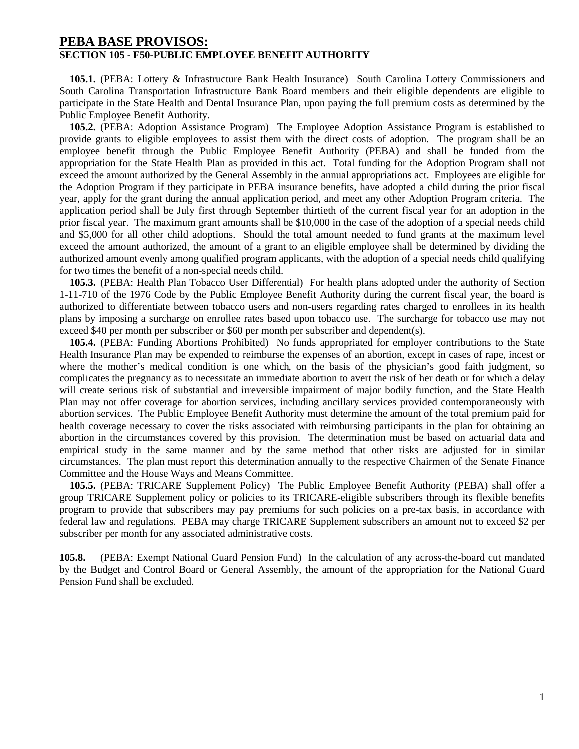#### **PEBA BASE PROVISOS: SECTION 105 - F50-PUBLIC EMPLOYEE BENEFIT AUTHORITY**

**105.1.** (PEBA: Lottery & Infrastructure Bank Health Insurance) South Carolina Lottery Commissioners and South Carolina Transportation Infrastructure Bank Board members and their eligible dependents are eligible to participate in the State Health and Dental Insurance Plan, upon paying the full premium costs as determined by the Public Employee Benefit Authority.

**105.2.** (PEBA: Adoption Assistance Program) The Employee Adoption Assistance Program is established to provide grants to eligible employees to assist them with the direct costs of adoption. The program shall be an employee benefit through the Public Employee Benefit Authority (PEBA) and shall be funded from the appropriation for the State Health Plan as provided in this act. Total funding for the Adoption Program shall not exceed the amount authorized by the General Assembly in the annual appropriations act. Employees are eligible for the Adoption Program if they participate in PEBA insurance benefits, have adopted a child during the prior fiscal year, apply for the grant during the annual application period, and meet any other Adoption Program criteria. The application period shall be July first through September thirtieth of the current fiscal year for an adoption in the prior fiscal year. The maximum grant amounts shall be \$10,000 in the case of the adoption of a special needs child and \$5,000 for all other child adoptions. Should the total amount needed to fund grants at the maximum level exceed the amount authorized, the amount of a grant to an eligible employee shall be determined by dividing the authorized amount evenly among qualified program applicants, with the adoption of a special needs child qualifying for two times the benefit of a non-special needs child.

**105.3.** (PEBA: Health Plan Tobacco User Differential) For health plans adopted under the authority of Section 1-11-710 of the 1976 Code by the Public Employee Benefit Authority during the current fiscal year, the board is authorized to differentiate between tobacco users and non-users regarding rates charged to enrollees in its health plans by imposing a surcharge on enrollee rates based upon tobacco use. The surcharge for tobacco use may not exceed \$40 per month per subscriber or \$60 per month per subscriber and dependent(s).

**105.4.** (PEBA: Funding Abortions Prohibited) No funds appropriated for employer contributions to the State Health Insurance Plan may be expended to reimburse the expenses of an abortion, except in cases of rape, incest or where the mother's medical condition is one which, on the basis of the physician's good faith judgment, so complicates the pregnancy as to necessitate an immediate abortion to avert the risk of her death or for which a delay will create serious risk of substantial and irreversible impairment of major bodily function, and the State Health Plan may not offer coverage for abortion services, including ancillary services provided contemporaneously with abortion services. The Public Employee Benefit Authority must determine the amount of the total premium paid for health coverage necessary to cover the risks associated with reimbursing participants in the plan for obtaining an abortion in the circumstances covered by this provision. The determination must be based on actuarial data and empirical study in the same manner and by the same method that other risks are adjusted for in similar circumstances. The plan must report this determination annually to the respective Chairmen of the Senate Finance Committee and the House Ways and Means Committee.

**105.5.** (PEBA: TRICARE Supplement Policy) The Public Employee Benefit Authority (PEBA) shall offer a group TRICARE Supplement policy or policies to its TRICARE-eligible subscribers through its flexible benefits program to provide that subscribers may pay premiums for such policies on a pre-tax basis, in accordance with federal law and regulations. PEBA may charge TRICARE Supplement subscribers an amount not to exceed \$2 per subscriber per month for any associated administrative costs.

**105.8.** (PEBA: Exempt National Guard Pension Fund) In the calculation of any across-the-board cut mandated by the Budget and Control Board or General Assembly, the amount of the appropriation for the National Guard Pension Fund shall be excluded.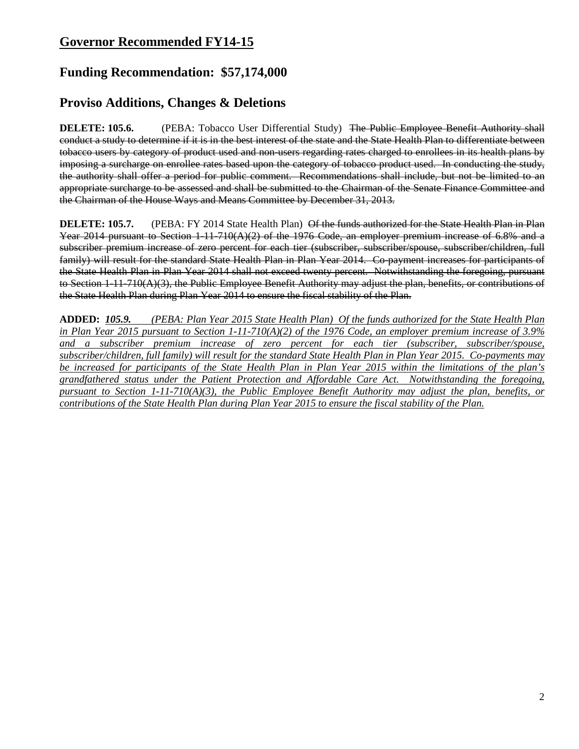# **Funding Recommendation: \$57,174,000**

# **Proviso Additions, Changes & Deletions**

**DELETE: 105.6.** (PEBA: Tobacco User Differential Study) The Public Employee Benefit Authority shall conduct a study to determine if it is in the best interest of the state and the State Health Plan to differentiate between tobacco users by category of product used and non-users regarding rates charged to enrollees in its health plans by imposing a surcharge on enrollee rates based upon the category of tobacco product used. In conducting the study, the authority shall offer a period for public comment. Recommendations shall include, but not be limited to an appropriate surcharge to be assessed and shall be submitted to the Chairman of the Senate Finance Committee and the Chairman of the House Ways and Means Committee by December 31, 2013.

**DELETE: 105.7.** (PEBA: FY 2014 State Health Plan) Of the funds authorized for the State Health Plan in Plan Year 2014 pursuant to Section 1-11-710(A)(2) of the 1976 Code, an employer premium increase of 6.8% and a subscriber premium increase of zero percent for each tier (subscriber, subscriber/spouse, subscriber/children, full family) will result for the standard State Health Plan in Plan Year 2014. Co-payment increases for participants of the State Health Plan in Plan Year 2014 shall not exceed twenty percent. Notwithstanding the foregoing, pursuant to Section  $1-11-710(A)(3)$ , the Public Employee Benefit Authority may adjust the plan, benefits, or contributions of the State Health Plan during Plan Year 2014 to ensure the fiscal stability of the Plan.

**ADDED:** *105.9. (PEBA: Plan Year 2015 State Health Plan) Of the funds authorized for the State Health Plan in Plan Year 2015 pursuant to Section 1-11-710(A)(2) of the 1976 Code, an employer premium increase of 3.9% and a subscriber premium increase of zero percent for each tier (subscriber, subscriber/spouse, subscriber/children, full family) will result for the standard State Health Plan in Plan Year 2015. Co-payments may be increased for participants of the State Health Plan in Plan Year 2015 within the limitations of the plan's grandfathered status under the Patient Protection and Affordable Care Act. Notwithstanding the foregoing, pursuant to Section 1-11-710(A)(3), the Public Employee Benefit Authority may adjust the plan, benefits, or contributions of the State Health Plan during Plan Year 2015 to ensure the fiscal stability of the Plan.*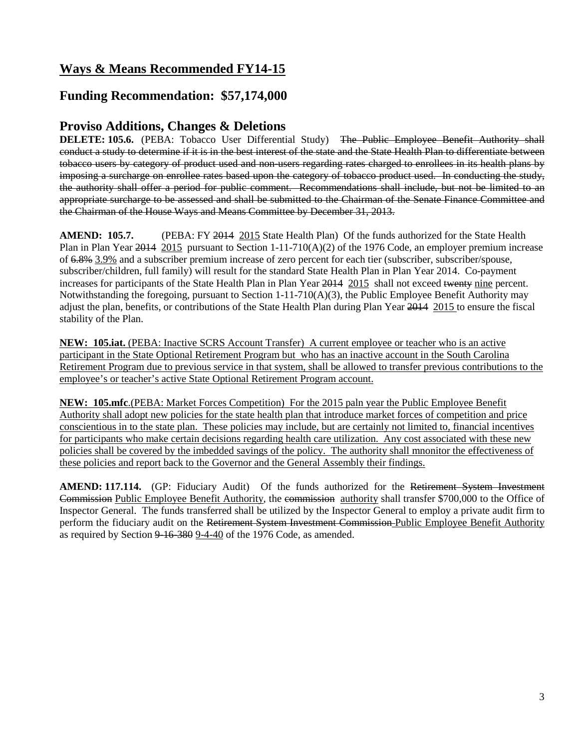# **Ways & Means Recommended FY14-15**

## **Funding Recommendation: \$57,174,000**

## **Proviso Additions, Changes & Deletions**

DELETE: 105.6. (PEBA: Tobacco User Differential Study) The Public Employee Benefit Authority shall conduct a study to determine if it is in the best interest of the state and the State Health Plan to differentiate between tobacco users by category of product used and non-users regarding rates charged to enrollees in its health plans by imposing a surcharge on enrollee rates based upon the category of tobacco product used. In conducting the study, the authority shall offer a period for public comment. Recommendations shall include, but not be limited to an appropriate surcharge to be assessed and shall be submitted to the Chairman of the Senate Finance Committee and the Chairman of the House Ways and Means Committee by December 31, 2013.

**AMEND: 105.7.** (PEBA: FY 2014 2015 State Health Plan) Of the funds authorized for the State Health Plan in Plan Year 2014 2015 pursuant to Section  $1-11-710(A)(2)$  of the 1976 Code, an employer premium increase of 6.8% 3.9% and a subscriber premium increase of zero percent for each tier (subscriber, subscriber/spouse, subscriber/children, full family) will result for the standard State Health Plan in Plan Year 2014. Co-payment increases for participants of the State Health Plan in Plan Year 2014 2015 shall not exceed twenty nine percent. Notwithstanding the foregoing, pursuant to Section 1-11-710(A)(3), the Public Employee Benefit Authority may adjust the plan, benefits, or contributions of the State Health Plan during Plan Year 2014 2015 to ensure the fiscal stability of the Plan.

**NEW: 105.iat.** (PEBA: Inactive SCRS Account Transfer) A current employee or teacher who is an active participant in the State Optional Retirement Program but who has an inactive account in the South Carolina Retirement Program due to previous service in that system, shall be allowed to transfer previous contributions to the employee's or teacher's active State Optional Retirement Program account.

**NEW: 105.mfc**.(PEBA: Market Forces Competition) For the 2015 paln year the Public Employee Benefit Authority shall adopt new policies for the state health plan that introduce market forces of competition and price conscientious in to the state plan. These policies may include, but are certainly not limited to, financial incentives for participants who make certain decisions regarding health care utilization. Any cost associated with these new policies shall be covered by the imbedded savings of the policy. The authority shall mnonitor the effectiveness of these policies and report back to the Governor and the General Assembly their findings.

**AMEND: 117.114.** (GP: Fiduciary Audit)Of the funds authorized for the Retirement System Investment Commission Public Employee Benefit Authority, the commission authority shall transfer \$700,000 to the Office of Inspector General. The funds transferred shall be utilized by the Inspector General to employ a private audit firm to perform the fiduciary audit on the Retirement System Investment Commission Public Employee Benefit Authority as required by Section 9-16-380 9-4-40 of the 1976 Code, as amended.